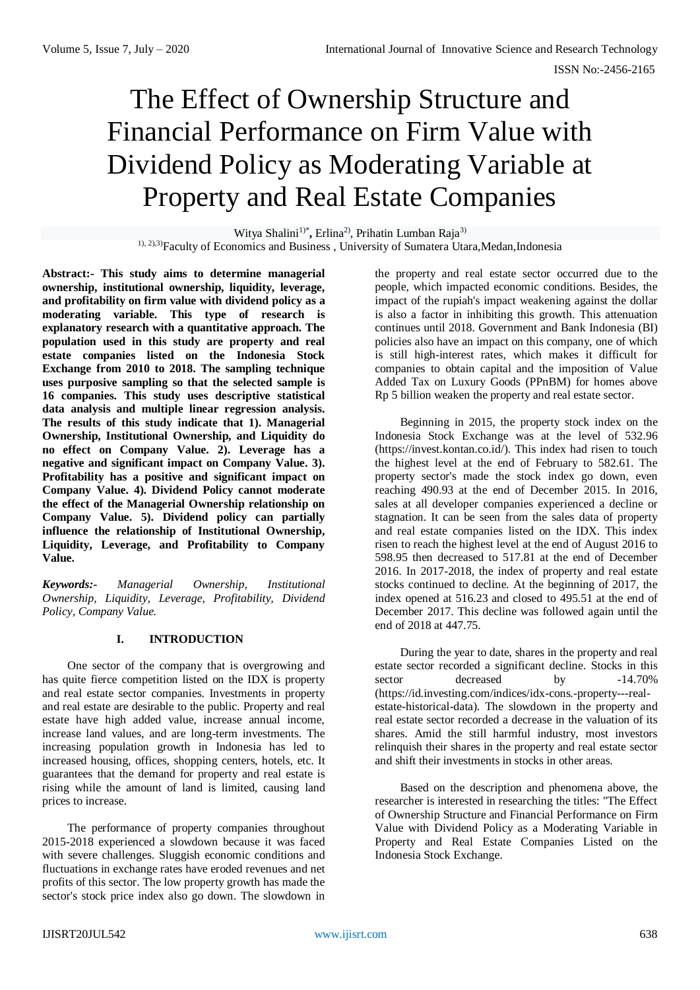# The Effect of Ownership Structure and Financial Performance on Firm Value with Dividend Policy as Moderating Variable at Property and Real Estate Companies

Witya Shalini<sup>1)\*</sup>, Erlina<sup>2</sup>, Prihatin Lumban Raja<sup>3)</sup> <sup>1), 2), 3)</sup>Faculty of Economics and Business, University of Sumatera Utara, Medan, Indonesia

**Abstract:- This study aims to determine managerial ownership, institutional ownership, liquidity, leverage, and profitability on firm value with dividend policy as a moderating variable. This type of research is explanatory research with a quantitative approach. The population used in this study are property and real estate companies listed on the Indonesia Stock Exchange from 2010 to 2018. The sampling technique uses purposive sampling so that the selected sample is 16 companies. This study uses descriptive statistical data analysis and multiple linear regression analysis. The results of this study indicate that 1). Managerial Ownership, Institutional Ownership, and Liquidity do no effect on Company Value. 2). Leverage has a negative and significant impact on Company Value. 3). Profitability has a positive and significant impact on Company Value. 4). Dividend Policy cannot moderate the effect of the Managerial Ownership relationship on Company Value. 5). Dividend policy can partially influence the relationship of Institutional Ownership, Liquidity, Leverage, and Profitability to Company Value.** 

*Keywords:- Managerial Ownership, Institutional Ownership, Liquidity, Leverage, Profitability, Dividend Policy, Company Value.*

# **I. INTRODUCTION**

One sector of the company that is overgrowing and has quite fierce competition listed on the IDX is property and real estate sector companies. Investments in property and real estate are desirable to the public. Property and real estate have high added value, increase annual income, increase land values, and are long-term investments. The increasing population growth in Indonesia has led to increased housing, offices, shopping centers, hotels, etc. It guarantees that the demand for property and real estate is rising while the amount of land is limited, causing land prices to increase.

The performance of property companies throughout 2015-2018 experienced a slowdown because it was faced with severe challenges. Sluggish economic conditions and fluctuations in exchange rates have eroded revenues and net profits of this sector. The low property growth has made the sector's stock price index also go down. The slowdown in

the property and real estate sector occurred due to the people, which impacted economic conditions. Besides, the impact of the rupiah's impact weakening against the dollar is also a factor in inhibiting this growth. This attenuation continues until 2018. Government and Bank Indonesia (BI) policies also have an impact on this company, one of which is still high-interest rates, which makes it difficult for companies to obtain capital and the imposition of Value Added Tax on Luxury Goods (PPnBM) for homes above Rp 5 billion weaken the property and real estate sector.

Beginning in 2015, the property stock index on the Indonesia Stock Exchange was at the level of 532.96 (https://invest.kontan.co.id/). This index had risen to touch the highest level at the end of February to 582.61. The property sector's made the stock index go down, even reaching 490.93 at the end of December 2015. In 2016, sales at all developer companies experienced a decline or stagnation. It can be seen from the sales data of property and real estate companies listed on the IDX. This index risen to reach the highest level at the end of August 2016 to 598.95 then decreased to 517.81 at the end of December 2016. In 2017-2018, the index of property and real estate stocks continued to decline. At the beginning of 2017, the index opened at 516.23 and closed to 495.51 at the end of December 2017. This decline was followed again until the end of 2018 at 447.75.

During the year to date, shares in the property and real estate sector recorded a significant decline. Stocks in this sector decreased by -14.70% (https://id.investing.com/indices/idx-cons.-property---realestate-historical-data). The slowdown in the property and real estate sector recorded a decrease in the valuation of its shares. Amid the still harmful industry, most investors relinquish their shares in the property and real estate sector and shift their investments in stocks in other areas.

Based on the description and phenomena above, the researcher is interested in researching the titles: "The Effect of Ownership Structure and Financial Performance on Firm Value with Dividend Policy as a Moderating Variable in Property and Real Estate Companies Listed on the Indonesia Stock Exchange.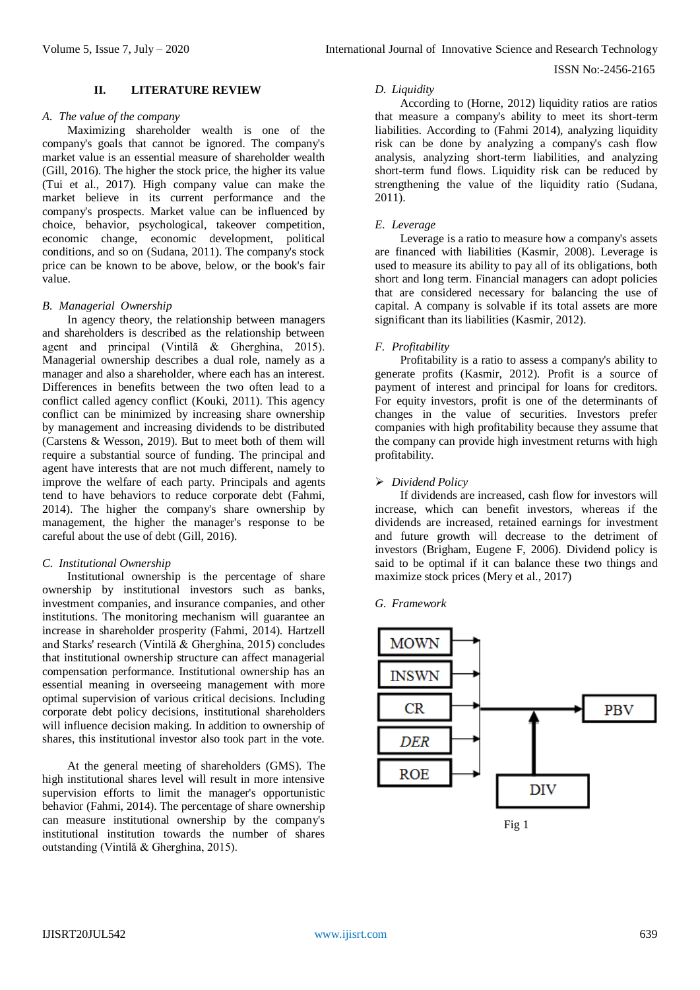# **II. LITERATURE REVIEW**

# *A. The value of the company*

Maximizing shareholder wealth is one of the company's goals that cannot be ignored. The company's market value is an essential measure of shareholder wealth (Gill, 2016). The higher the stock price, the higher its value (Tui et al., 2017). High company value can make the market believe in its current performance and the company's prospects. Market value can be influenced by choice, behavior, psychological, takeover competition, economic change, economic development, political conditions, and so on (Sudana, 2011). The company's stock price can be known to be above, below, or the book's fair value.

## *B. Managerial Ownership*

In agency theory, the relationship between managers and shareholders is described as the relationship between agent and principal (Vintilă & Gherghina, 2015). Managerial ownership describes a dual role, namely as a manager and also a shareholder, where each has an interest. Differences in benefits between the two often lead to a conflict called agency conflict (Kouki, 2011). This agency conflict can be minimized by increasing share ownership by management and increasing dividends to be distributed (Carstens & Wesson, 2019). But to meet both of them will require a substantial source of funding. The principal and agent have interests that are not much different, namely to improve the welfare of each party. Principals and agents tend to have behaviors to reduce corporate debt (Fahmi, 2014). The higher the company's share ownership by management, the higher the manager's response to be careful about the use of debt (Gill, 2016).

## *C. Institutional Ownership*

Institutional ownership is the percentage of share ownership by institutional investors such as banks, investment companies, and insurance companies, and other institutions. The monitoring mechanism will guarantee an increase in shareholder prosperity (Fahmi, 2014). Hartzell and Starks' research (Vintilă & Gherghina, 2015) concludes that institutional ownership structure can affect managerial compensation performance. Institutional ownership has an essential meaning in overseeing management with more optimal supervision of various critical decisions. Including corporate debt policy decisions, institutional shareholders will influence decision making. In addition to ownership of shares, this institutional investor also took part in the vote.

At the general meeting of shareholders (GMS). The high institutional shares level will result in more intensive supervision efforts to limit the manager's opportunistic behavior (Fahmi, 2014). The percentage of share ownership can measure institutional ownership by the company's institutional institution towards the number of shares outstanding (Vintilă & Gherghina, 2015).

## *D. Liquidity*

According to (Horne, 2012) liquidity ratios are ratios that measure a company's ability to meet its short-term liabilities. According to (Fahmi 2014), analyzing liquidity risk can be done by analyzing a company's cash flow analysis, analyzing short-term liabilities, and analyzing short-term fund flows. Liquidity risk can be reduced by strengthening the value of the liquidity ratio (Sudana, 2011).

# *E. Leverage*

Leverage is a ratio to measure how a company's assets are financed with liabilities (Kasmir, 2008). Leverage is used to measure its ability to pay all of its obligations, both short and long term. Financial managers can adopt policies that are considered necessary for balancing the use of capital. A company is solvable if its total assets are more significant than its liabilities (Kasmir, 2012).

## *F. Profitability*

Profitability is a ratio to assess a company's ability to generate profits (Kasmir, 2012). Profit is a source of payment of interest and principal for loans for creditors. For equity investors, profit is one of the determinants of changes in the value of securities. Investors prefer companies with high profitability because they assume that the company can provide high investment returns with high profitability.

## *Dividend Policy*

If dividends are increased, cash flow for investors will increase, which can benefit investors, whereas if the dividends are increased, retained earnings for investment and future growth will decrease to the detriment of investors (Brigham, Eugene F, 2006). Dividend policy is said to be optimal if it can balance these two things and maximize stock prices (Mery et al., 2017)

#### *G. Framework*



Fig 1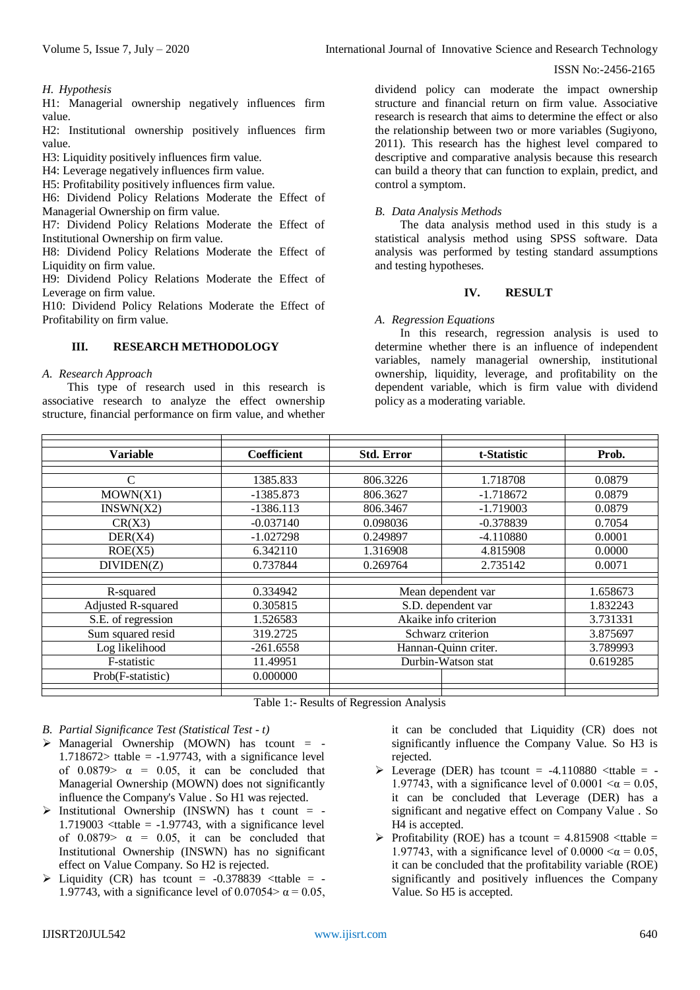# *H. Hypothesis*

H1: Managerial ownership negatively influences firm value.

H2: Institutional ownership positively influences firm value.

H3: Liquidity positively influences firm value.

H4: Leverage negatively influences firm value.

H5: Profitability positively influences firm value.

H6: Dividend Policy Relations Moderate the Effect of Managerial Ownership on firm value.

H7: Dividend Policy Relations Moderate the Effect of Institutional Ownership on firm value.

H8: Dividend Policy Relations Moderate the Effect of Liquidity on firm value.

H9: Dividend Policy Relations Moderate the Effect of Leverage on firm value.

H10: Dividend Policy Relations Moderate the Effect of Profitability on firm value.

# **III. RESEARCH METHODOLOGY**

# *A. Research Approach*

This type of research used in this research is associative research to analyze the effect ownership structure, financial performance on firm value, and whether

dividend policy can moderate the impact ownership structure and financial return on firm value. Associative research is research that aims to determine the effect or also the relationship between two or more variables (Sugiyono, 2011). This research has the highest level compared to descriptive and comparative analysis because this research can build a theory that can function to explain, predict, and control a symptom.

# *B. Data Analysis Methods*

The data analysis method used in this study is a statistical analysis method using SPSS software. Data analysis was performed by testing standard assumptions and testing hypotheses.

## **IV. RESULT**

## *A. Regression Equations*

In this research, regression analysis is used to determine whether there is an influence of independent variables, namely managerial ownership, institutional ownership, liquidity, leverage, and profitability on the dependent variable, which is firm value with dividend policy as a moderating variable.

| <b>Variable</b>    | Coefficient | <b>Std. Error</b>     | t-Statistic | Prob.    |
|--------------------|-------------|-----------------------|-------------|----------|
|                    |             |                       |             |          |
| $\mathcal{C}$      | 1385.833    | 806.3226              | 1.718708    | 0.0879   |
| MOWN(X1)           | $-1385.873$ | 806.3627              | $-1.718672$ | 0.0879   |
| INSWN(X2)          | $-1386.113$ | 806.3467              | $-1.719003$ | 0.0879   |
| CR(X3)             | $-0.037140$ | 0.098036              | $-0.378839$ | 0.7054   |
| DER(X4)            | $-1.027298$ | 0.249897              | $-4.110880$ | 0.0001   |
| ROE(X5)            | 6.342110    | 1.316908              | 4.815908    | 0.0000   |
| DIVIDEN(Z)         | 0.737844    | 0.269764              | 2.735142    | 0.0071   |
|                    |             |                       |             |          |
| R-squared          | 0.334942    | Mean dependent var    |             | 1.658673 |
| Adjusted R-squared | 0.305815    | S.D. dependent var    |             | 1.832243 |
| S.E. of regression | 1.526583    | Akaike info criterion |             | 3.731331 |
| Sum squared resid  | 319.2725    | Schwarz criterion     |             | 3.875697 |
| Log likelihood     | $-261.6558$ | Hannan-Quinn criter.  |             | 3.789993 |
| F-statistic        | 11.49951    | Durbin-Watson stat    |             | 0.619285 |
| Prob(F-statistic)  | 0.000000    |                       |             |          |
|                    |             |                       |             |          |

Table 1:- Results of Regression Analysis

*B. Partial Significance Test (Statistical Test - t)*

- $\triangleright$  Managerial Ownership (MOWN) has tcount = -1.718672> ttable =  $-1.97743$ , with a significance level of  $0.0879$   $\alpha$  = 0.05, it can be concluded that Managerial Ownership (MOWN) does not significantly influence the Company's Value . So H1 was rejected.
- $\triangleright$  Institutional Ownership (INSWN) has t count = -1.719003  $\lt$ ttable = -1.97743, with a significance level of  $0.0879$   $\alpha$  = 0.05, it can be concluded that Institutional Ownership (INSWN) has no significant effect on Value Company. So H2 is rejected.
- $\triangleright$  Liquidity (CR) has tcount = -0.378839 <ttable = -1.97743, with a significance level of 0.07054 $>\alpha$  = 0.05,

it can be concluded that Liquidity (CR) does not significantly influence the Company Value. So H3 is rejected.

- $\triangleright$  Leverage (DER) has tcount = -4.110880 <ttable = -1.97743, with a significance level of 0.0001  $\alpha$  = 0.05, it can be concluded that Leverage (DER) has a significant and negative effect on Company Value . So H4 is accepted.
- $\triangleright$  Profitability (ROE) has a tcount = 4.815908 <ttable = 1.97743, with a significance level of  $0.0000 < \alpha = 0.05$ , it can be concluded that the profitability variable (ROE) significantly and positively influences the Company Value. So H5 is accepted.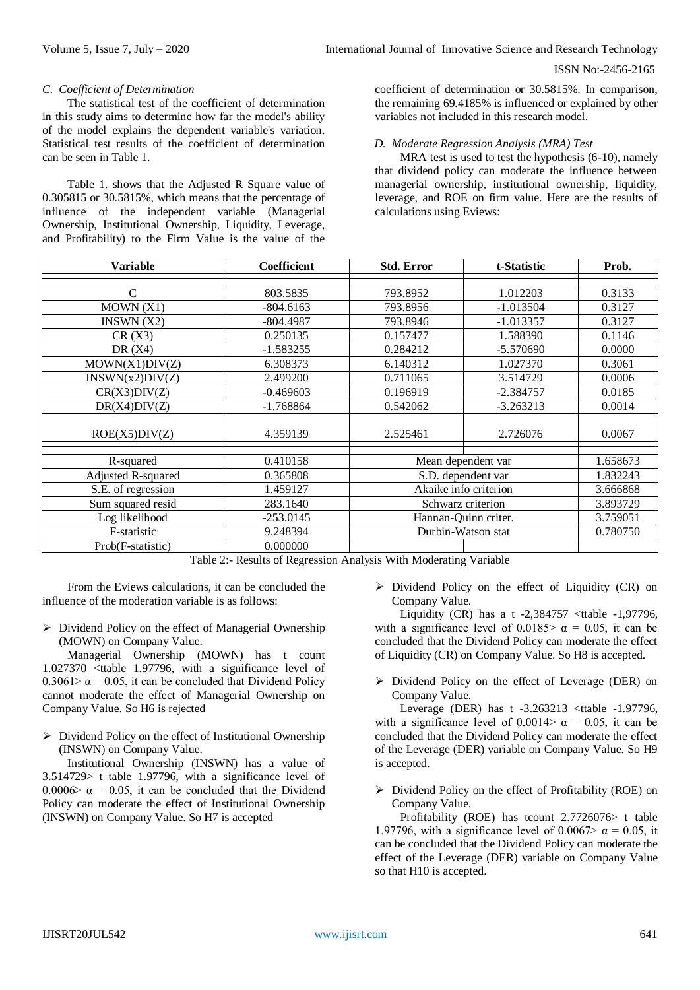# *C. Coefficient of Determination*

The statistical test of the coefficient of determination in this study aims to determine how far the model's ability of the model explains the dependent variable's variation. Statistical test results of the coefficient of determination can be seen in Table 1.

Table 1. shows that the Adjusted R Square value of 0.305815 or 30.5815%, which means that the percentage of influence of the independent variable (Managerial Ownership, Institutional Ownership, Liquidity, Leverage, and Profitability) to the Firm Value is the value of the

coefficient of determination or 30.5815%. In comparison, the remaining 69.4185% is influenced or explained by other variables not included in this research model.

# *D. Moderate Regression Analysis (MRA) Test*

MRA test is used to test the hypothesis (6-10), namely that dividend policy can moderate the influence between managerial ownership, institutional ownership, liquidity, leverage, and ROE on firm value. Here are the results of calculations using Eviews:

| <b>Variable</b>    | <b>Coefficient</b> | <b>Std. Error</b>     | t-Statistic | Prob.    |  |  |
|--------------------|--------------------|-----------------------|-------------|----------|--|--|
|                    |                    |                       |             |          |  |  |
| C                  | 803.5835           | 793.8952              | 1.012203    | 0.3133   |  |  |
| MOWN(X1)           | $-804.6163$        | 793.8956              | $-1.013504$ | 0.3127   |  |  |
| INSWN $(X2)$       | $-804.4987$        | 793.8946              | $-1.013357$ | 0.3127   |  |  |
| CR(X3)             | 0.250135           | 0.157477              | 1.588390    | 0.1146   |  |  |
| DR $(X4)$          | $-1.583255$        | 0.284212              | $-5.570690$ | 0.0000   |  |  |
| MOWN(X1)DIV(Z)     | 6.308373           | 6.140312              | 1.027370    | 0.3061   |  |  |
| INSWN(x2)DIV(Z)    | 2.499200           | 0.711065              | 3.514729    | 0.0006   |  |  |
| CR(X3)DIV(Z)       | $-0.469603$        | 0.196919              | $-2.384757$ | 0.0185   |  |  |
| DR(X4)DIV(Z)       | $-1.768864$        | 0.542062              | $-3.263213$ | 0.0014   |  |  |
| ROE(X5)DIV(Z)      | 4.359139           | 2.525461              | 2.726076    | 0.0067   |  |  |
| R-squared          | 0.410158           | Mean dependent var    |             | 1.658673 |  |  |
|                    | 0.365808           |                       |             | 1.832243 |  |  |
| Adjusted R-squared |                    | S.D. dependent var    |             |          |  |  |
| S.E. of regression | 1.459127           | Akaike info criterion |             | 3.666868 |  |  |
| Sum squared resid  | 283.1640           | Schwarz criterion     |             | 3.893729 |  |  |
| Log likelihood     | $-253.0145$        | Hannan-Quinn criter.  |             | 3.759051 |  |  |
| F-statistic        | 9.248394           | Durbin-Watson stat    |             | 0.780750 |  |  |
| Prob(F-statistic)  | 0.000000           |                       |             |          |  |  |

Table 2:- Results of Regression Analysis With Moderating Variable

From the Eviews calculations, it can be concluded the influence of the moderation variable is as follows:

 $\triangleright$  Dividend Policy on the effect of Managerial Ownership (MOWN) on Company Value.

Managerial Ownership (MOWN) has t count 1.027370 <ttable 1.97796, with a significance level of 0.3061>  $\alpha$  = 0.05, it can be concluded that Dividend Policy cannot moderate the effect of Managerial Ownership on Company Value. So H6 is rejected

 $\triangleright$  Dividend Policy on the effect of Institutional Ownership (INSWN) on Company Value.

Institutional Ownership (INSWN) has a value of 3.514729> t table 1.97796, with a significance level of 0.0006>  $\alpha$  = 0.05, it can be concluded that the Dividend Policy can moderate the effect of Institutional Ownership (INSWN) on Company Value. So H7 is accepted

 $\triangleright$  Dividend Policy on the effect of Liquidity (CR) on Company Value.

Liquidity (CR) has a t  $-2,384757$  <ttable  $-1,97796$ , with a significance level of 0.0185>  $\alpha = 0.05$ , it can be concluded that the Dividend Policy can moderate the effect of Liquidity (CR) on Company Value. So H8 is accepted.

 Dividend Policy on the effect of Leverage (DER) on Company Value.

Leverage (DER) has t -3.263213 <ttable -1.97796, with a significance level of 0.0014 $>\alpha = 0.05$ , it can be concluded that the Dividend Policy can moderate the effect of the Leverage (DER) variable on Company Value. So H9 is accepted.

 Dividend Policy on the effect of Profitability (ROE) on Company Value.

Profitability (ROE) has tcount 2.7726076> t table 1.97796, with a significance level of 0.0067>  $\alpha = 0.05$ , it can be concluded that the Dividend Policy can moderate the effect of the Leverage (DER) variable on Company Value so that H10 is accepted.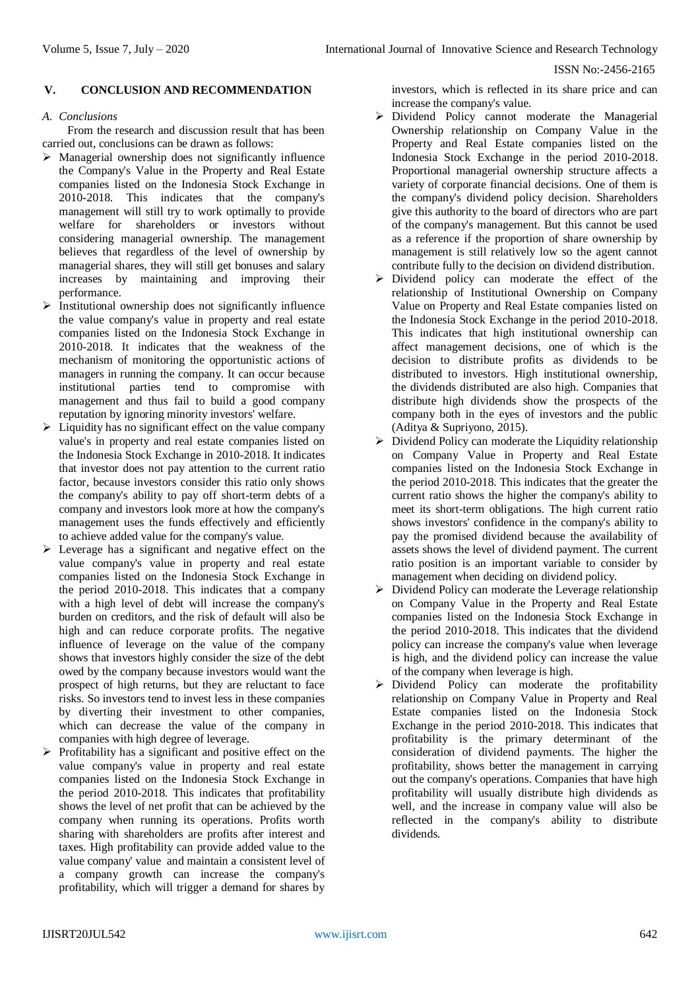# **V. CONCLUSION AND RECOMMENDATION**

# *A. Conclusions*

From the research and discussion result that has been carried out, conclusions can be drawn as follows:

- $\triangleright$  Managerial ownership does not significantly influence the Company's Value in the Property and Real Estate companies listed on the Indonesia Stock Exchange in 2010-2018. This indicates that the company's management will still try to work optimally to provide welfare for shareholders or investors without considering managerial ownership. The management believes that regardless of the level of ownership by managerial shares, they will still get bonuses and salary increases by maintaining and improving their performance.
- $\triangleright$  Institutional ownership does not significantly influence the value company's value in property and real estate companies listed on the Indonesia Stock Exchange in 2010-2018. It indicates that the weakness of the mechanism of monitoring the opportunistic actions of managers in running the company. It can occur because institutional parties tend to compromise with management and thus fail to build a good company reputation by ignoring minority investors' welfare.
- $\triangleright$  Liquidity has no significant effect on the value company value's in property and real estate companies listed on the Indonesia Stock Exchange in 2010-2018. It indicates that investor does not pay attention to the current ratio factor, because investors consider this ratio only shows the company's ability to pay off short-term debts of a company and investors look more at how the company's management uses the funds effectively and efficiently to achieve added value for the company's value.
- $\triangleright$  Leverage has a significant and negative effect on the value company's value in property and real estate companies listed on the Indonesia Stock Exchange in the period 2010-2018. This indicates that a company with a high level of debt will increase the company's burden on creditors, and the risk of default will also be high and can reduce corporate profits. The negative influence of leverage on the value of the company shows that investors highly consider the size of the debt owed by the company because investors would want the prospect of high returns, but they are reluctant to face risks. So investors tend to invest less in these companies by diverting their investment to other companies, which can decrease the value of the company in companies with high degree of leverage.
- $\triangleright$  Profitability has a significant and positive effect on the value company's value in property and real estate companies listed on the Indonesia Stock Exchange in the period 2010-2018. This indicates that profitability shows the level of net profit that can be achieved by the company when running its operations. Profits worth sharing with shareholders are profits after interest and taxes. High profitability can provide added value to the value company' value and maintain a consistent level of a company growth can increase the company's profitability, which will trigger a demand for shares by

investors, which is reflected in its share price and can increase the company's value.

- Dividend Policy cannot moderate the Managerial Ownership relationship on Company Value in the Property and Real Estate companies listed on the Indonesia Stock Exchange in the period 2010-2018. Proportional managerial ownership structure affects a variety of corporate financial decisions. One of them is the company's dividend policy decision. Shareholders give this authority to the board of directors who are part of the company's management. But this cannot be used as a reference if the proportion of share ownership by management is still relatively low so the agent cannot contribute fully to the decision on dividend distribution.
- $\triangleright$  Dividend policy can moderate the effect of the relationship of Institutional Ownership on Company Value on Property and Real Estate companies listed on the Indonesia Stock Exchange in the period 2010-2018. This indicates that high institutional ownership can affect management decisions, one of which is the decision to distribute profits as dividends to be distributed to investors. High institutional ownership, the dividends distributed are also high. Companies that distribute high dividends show the prospects of the company both in the eyes of investors and the public (Aditya & Supriyono, 2015).
- $\triangleright$  Dividend Policy can moderate the Liquidity relationship on Company Value in Property and Real Estate companies listed on the Indonesia Stock Exchange in the period 2010-2018. This indicates that the greater the current ratio shows the higher the company's ability to meet its short-term obligations. The high current ratio shows investors' confidence in the company's ability to pay the promised dividend because the availability of assets shows the level of dividend payment. The current ratio position is an important variable to consider by management when deciding on dividend policy.
- $\triangleright$  Dividend Policy can moderate the Leverage relationship on Company Value in the Property and Real Estate companies listed on the Indonesia Stock Exchange in the period 2010-2018. This indicates that the dividend policy can increase the company's value when leverage is high, and the dividend policy can increase the value of the company when leverage is high.
- Dividend Policy can moderate the profitability relationship on Company Value in Property and Real Estate companies listed on the Indonesia Stock Exchange in the period 2010-2018. This indicates that profitability is the primary determinant of the consideration of dividend payments. The higher the profitability, shows better the management in carrying out the company's operations. Companies that have high profitability will usually distribute high dividends as well, and the increase in company value will also be reflected in the company's ability to distribute dividends.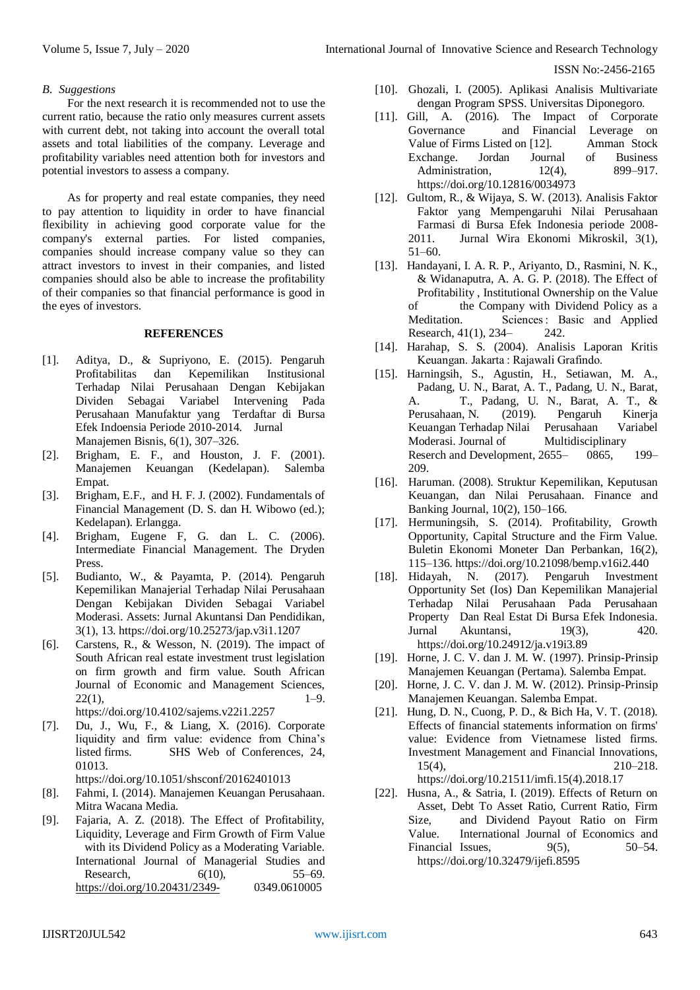# *B. Suggestions*

For the next research it is recommended not to use the current ratio, because the ratio only measures current assets with current debt, not taking into account the overall total assets and total liabilities of the company. Leverage and profitability variables need attention both for investors and potential investors to assess a company.

As for property and real estate companies, they need to pay attention to liquidity in order to have financial flexibility in achieving good corporate value for the company's external parties. For listed companies, companies should increase company value so they can attract investors to invest in their companies, and listed companies should also be able to increase the profitability of their companies so that financial performance is good in the eyes of investors.

# **REFERENCES**

- [1]. Aditya, D., & Supriyono, E. (2015). Pengaruh Profitabilitas dan Kepemilikan Institusional Terhadap Nilai Perusahaan Dengan Kebijakan Dividen Sebagai Variabel Intervening Pada Perusahaan Manufaktur yang Terdaftar di Bursa Efek Indoensia Periode 2010-2014. Jurnal Manajemen Bisnis, 6(1), 307–326.
- [2]. Brigham, E. F., and Houston, J. F. (2001). Manajemen Keuangan (Kedelapan). Salemba Empat.
- [3]. Brigham, E.F., and H. F. J. (2002). Fundamentals of Financial Management (D. S. dan H. Wibowo (ed.); Kedelapan). Erlangga.
- [4]. Brigham, Eugene F, G. dan L. C. (2006). Intermediate Financial Management. The Dryden Press.
- [5]. Budianto, W., & Payamta, P. (2014). Pengaruh Kepemilikan Manajerial Terhadap Nilai Perusahaan Dengan Kebijakan Dividen Sebagai Variabel Moderasi. Assets: Jurnal Akuntansi Dan Pendidikan, 3(1), 13. https://doi.org/10.25273/jap.v3i1.1207
- [6]. Carstens, R., & Wesson, N. (2019). The impact of South African real estate investment trust legislation on firm growth and firm value. South African Journal of Economic and Management Sciences,  $22(1),$  1–9. https://doi.org/10.4102/sajems.v22i1.2257
- [7]. Du, J., Wu, F., & Liang, X. (2016). Corporate liquidity and firm value: evidence from China's listed firms. SHS Web of Conferences, 24, 01013.

https://doi.org/10.1051/shsconf/20162401013

- [8]. Fahmi, I. (2014). Manajemen Keuangan Perusahaan. Mitra Wacana Media.
- [9]. Fajaria, A. Z. (2018). The Effect of Profitability, Liquidity, Leverage and Firm Growth of Firm Value with its Dividend Policy as a Moderating Variable. International Journal of Managerial Studies and Research,  $6(10)$ ,  $55-69$ . <https://doi.org/10.20431/2349-> 0349.0610005
- [10]. Ghozali, I. (2005). Aplikasi Analisis Multivariate dengan Program SPSS. Universitas Diponegoro.
- [11]. Gill, A. (2016). The Impact of Corporate Governance and Financial Leverage on Value of Firms Listed on [12]. Amman Stock Exchange. Jordan Journal of Business Administration, 12(4), 899–917. https://doi.org/10.12816/0034973
- [12]. Gultom, R., & Wijaya, S. W. (2013). Analisis Faktor Faktor yang Mempengaruhi Nilai Perusahaan Farmasi di Bursa Efek Indonesia periode 2008- 2011. Jurnal Wira Ekonomi Mikroskil, 3(1), 51–60.
- [13]. Handayani, I. A. R. P., Ariyanto, D., Rasmini, N. K., & Widanaputra, A. A. G. P. (2018). The Effect of Profitability , Institutional Ownership on the Value of the Company with Dividend Policy as a Meditation. Sciences : Basic and Applied Research, 41(1), 234– 242.
- [14]. Harahap, S. S. (2004). Analisis Laporan Kritis Keuangan. Jakarta : Rajawali Grafindo.
- [15]. Harningsih, S., Agustin, H., Setiawan, M. A., Padang, U. N., Barat, A. T., Padang, U. N., Barat, A. T., Padang, U. N., Barat, A. T., & Perusahaan, N. (2019). Pengaruh Kinerja Keuangan Terhadap Nilai Perusahaan Variabel Moderasi. Journal of Multidisciplinary Reserch and Development, 2655– 0865, 199– 209.
- [16]. Haruman. (2008). Struktur Kepemilikan, Keputusan Keuangan, dan Nilai Perusahaan. Finance and Banking Journal, 10(2), 150–166.
- [17]. Hermuningsih, S. (2014). Profitability, Growth Opportunity, Capital Structure and the Firm Value. Buletin Ekonomi Moneter Dan Perbankan, 16(2), 115–136. https://doi.org/10.21098/bemp.v16i2.440
- [18]. Hidayah, N. (2017). Pengaruh Investment Opportunity Set (Ios) Dan Kepemilikan Manajerial Terhadap Nilai Perusahaan Pada Perusahaan Property Dan Real Estat Di Bursa Efek Indonesia. Jurnal Akuntansi, 19(3), 420. https://doi.org/10.24912/ja.v19i3.89
- [19]. Horne, J. C. V. dan J. M. W. (1997). Prinsip-Prinsip Manajemen Keuangan (Pertama). Salemba Empat.
- [20]. Horne, J. C. V. dan J. M. W. (2012). Prinsip-Prinsip Manajemen Keuangan. Salemba Empat.
- [21]. Hung, D. N., Cuong, P. D., & Bich Ha, V. T. (2018). Effects of financial statements information on firms' value: Evidence from Vietnamese listed firms. Investment Management and Financial Innovations, 15(4), 210–218.

https://doi.org/10.21511/imfi.15(4).2018.17

[22]. Husna, A., & Satria, I. (2019). Effects of Return on Asset, Debt To Asset Ratio, Current Ratio, Firm Size, and Dividend Payout Ratio on Firm Value. International Journal of Economics and Financial Issues, 9(5), 50–54. https://doi.org/10.32479/ijefi.8595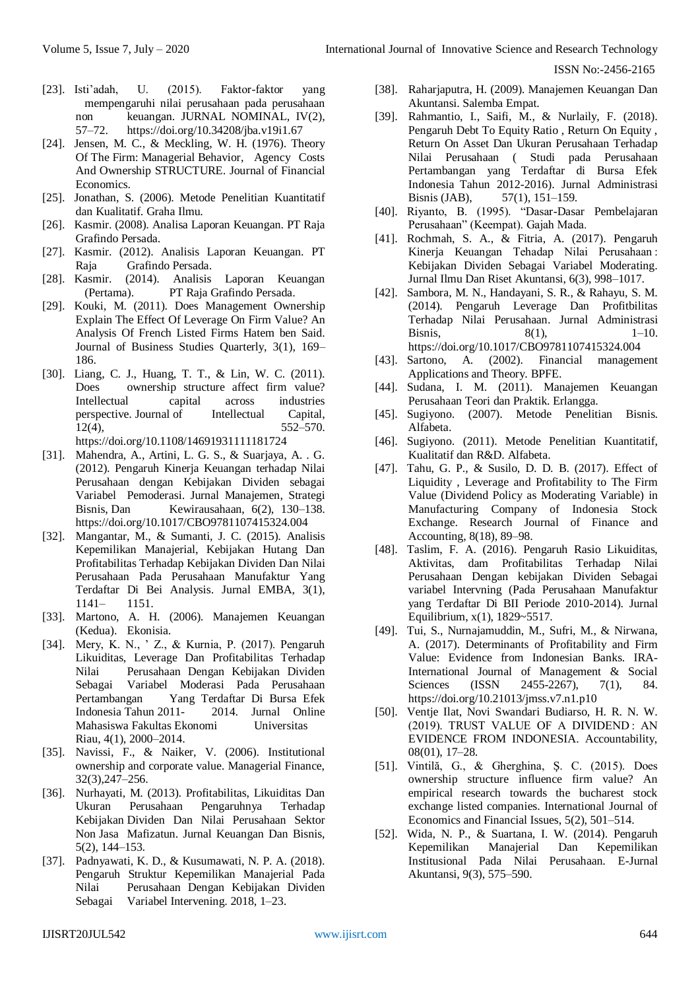- [23]. Isti'adah, U. (2015). Faktor-faktor yang mempengaruhi nilai perusahaan pada perusahaan non keuangan. JURNAL NOMINAL, IV(2), 57–72. https://doi.org/10.34208/jba.v19i1.67
- [24]. Jensen, M. C., & Meckling, W. H. (1976). Theory Of The Firm: Managerial Behavior, Agency Costs And Ownership STRUCTURE. Journal of Financial Economics.
- [25]. Jonathan, S. (2006). Metode Penelitian Kuantitatif dan Kualitatif. Graha Ilmu.
- [26]. Kasmir. (2008). Analisa Laporan Keuangan. PT Raja Grafindo Persada.
- [27]. Kasmir. (2012). Analisis Laporan Keuangan. PT Raja Grafindo Persada.
- [28]. Kasmir. (2014). Analisis Laporan Keuangan (Pertama). PT Raja Grafindo Persada.
- [29]. Kouki, M. (2011). Does Management Ownership Explain The Effect Of Leverage On Firm Value? An Analysis Of French Listed Firms Hatem ben Said. Journal of Business Studies Quarterly, 3(1), 169– 186.
- [30]. Liang, C. J., Huang, T. T., & Lin, W. C. (2011). Does ownership structure affect firm value? Intellectual capital across industries perspective. Journal of Intellectual Capital,  $12(4)$ ,  $552-570$ . https://doi.org/10.1108/14691931111181724
- [31]. Mahendra, A., Artini, L. G. S., & Suarjaya, A. . G. (2012). Pengaruh Kinerja Keuangan terhadap Nilai Perusahaan dengan Kebijakan Dividen sebagai Variabel Pemoderasi. Jurnal Manajemen, Strategi Bisnis, Dan Kewirausahaan, 6(2), 130–138. https://doi.org/10.1017/CBO9781107415324.004
- [32]. Mangantar, M., & Sumanti, J. C. (2015). Analisis Kepemilikan Manajerial, Kebijakan Hutang Dan Profitabilitas Terhadap Kebijakan Dividen Dan Nilai Perusahaan Pada Perusahaan Manufaktur Yang Terdaftar Di Bei Analysis. Jurnal EMBA, 3(1), 1141– 1151.
- [33]. Martono, A. H. (2006). Manajemen Keuangan (Kedua). Ekonisia.
- [34]. Mery, K. N., ' Z., & Kurnia, P. (2017). Pengaruh Likuiditas, Leverage Dan Profitabilitas Terhadap Nilai Perusahaan Dengan Kebijakan Dividen Sebagai Variabel Moderasi Pada Perusahaan Pertambangan Yang Terdaftar Di Bursa Efek Indonesia Tahun 2011- 2014. Jurnal Online Mahasiswa Fakultas Ekonomi Universitas Riau, 4(1), 2000–2014.
- [35]. Navissi, F., & Naiker, V. (2006). Institutional ownership and corporate value. Managerial Finance, 32(3),247–256.
- [36]. Nurhayati, M. (2013). Profitabilitas, Likuiditas Dan Ukuran Perusahaan Pengaruhnya Terhadap Kebijakan Dividen Dan Nilai Perusahaan Sektor Non Jasa Mafizatun. Jurnal Keuangan Dan Bisnis, 5(2), 144–153.
- [37]. Padnyawati, K. D., & Kusumawati, N. P. A. (2018). Pengaruh Struktur Kepemilikan Manajerial Pada Nilai Perusahaan Dengan Kebijakan Dividen Sebagai Variabel Intervening. 2018, 1–23.
- [38]. Raharjaputra, H. (2009). Manajemen Keuangan Dan Akuntansi. Salemba Empat.
- [39]. Rahmantio, I., Saifi, M., & Nurlaily, F. (2018). Pengaruh Debt To Equity Ratio , Return On Equity , Return On Asset Dan Ukuran Perusahaan Terhadap Nilai Perusahaan ( Studi pada Perusahaan Pertambangan yang Terdaftar di Bursa Efek Indonesia Tahun 2012-2016). Jurnal Administrasi Bisnis (JAB), 57(1), 151–159.
- [40]. Riyanto, B. (1995). "Dasar-Dasar Pembelajaran Perusahaan" (Keempat). Gajah Mada.
- [41]. Rochmah, S. A., & Fitria, A. (2017). Pengaruh Kinerja Keuangan Tehadap Nilai Perusahaan : Kebijakan Dividen Sebagai Variabel Moderating. Jurnal Ilmu Dan Riset Akuntansi, 6(3), 998–1017.
- [42]. Sambora, M. N., Handayani, S. R., & Rahayu, S. M. (2014). Pengaruh Leverage Dan Profitbilitas Terhadap Nilai Perusahaan. Jurnal Administrasi Bisnis,  $8(1)$ ,  $1-10$ . https://doi.org/10.1017/CBO9781107415324.004
- [43]. Sartono, A. (2002). Financial management Applications and Theory. BPFE.
- [44]. Sudana, I. M. (2011). Manajemen Keuangan Perusahaan Teori dan Praktik. Erlangga.
- [45]. Sugiyono. (2007). Metode Penelitian Bisnis. Alfabeta.
- [46]. Sugiyono. (2011). Metode Penelitian Kuantitatif, Kualitatif dan R&D. Alfabeta.
- [47]. Tahu, G. P., & Susilo, D. D. B. (2017). Effect of Liquidity , Leverage and Profitability to The Firm Value (Dividend Policy as Moderating Variable) in Manufacturing Company of Indonesia Stock Exchange. Research Journal of Finance and Accounting, 8(18), 89–98.
- [48]. Taslim, F. A. (2016). Pengaruh Rasio Likuiditas, Aktivitas, dam Profitabilitas Terhadap Nilai Perusahaan Dengan kebijakan Dividen Sebagai variabel Intervning (Pada Perusahaan Manufaktur yang Terdaftar Di BII Periode 2010-2014). Jurnal Equilibrium, x(1), 1829~5517.
- [49]. Tui, S., Nurnajamuddin, M., Sufri, M., & Nirwana, A. (2017). Determinants of Profitability and Firm Value: Evidence from Indonesian Banks. IRA-International Journal of Management & Social Sciences (ISSN 2455-2267), 7(1), 84. https://doi.org/10.21013/jmss.v7.n1.p10
- [50]. Ventje Ilat, Novi Swandari Budiarso, H. R. N. W. (2019). TRUST VALUE OF A DIVIDEND : AN EVIDENCE FROM INDONESIA. Accountability, 08(01), 17–28.
- [51]. Vintilă, G., & Gherghina, Ş. C. (2015). Does ownership structure influence firm value? An empirical research towards the bucharest stock exchange listed companies. International Journal of Economics and Financial Issues, 5(2), 501–514.
- [52]. Wida, N. P., & Suartana, I. W. (2014). Pengaruh Kepemilikan Manajerial Dan Kepemilikan Institusional Pada Nilai Perusahaan. E-Jurnal Akuntansi, 9(3), 575–590.